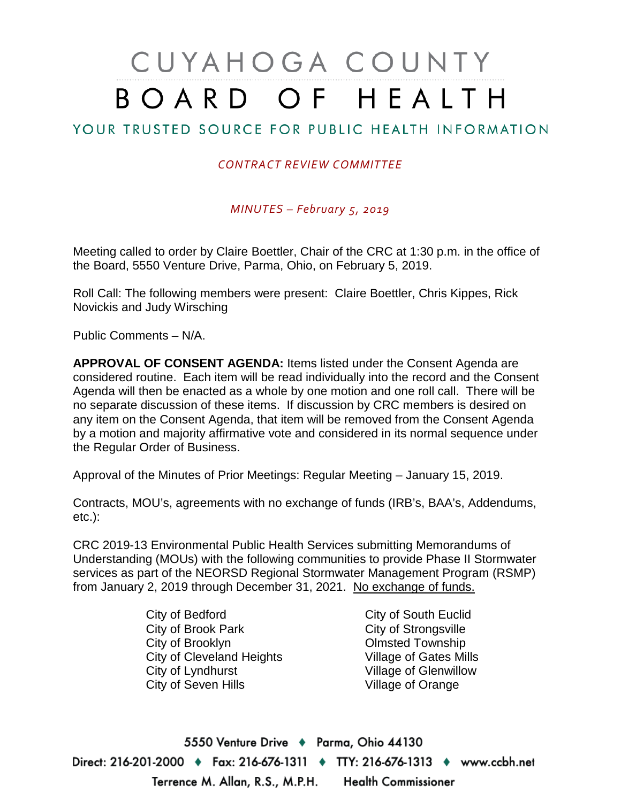# CUYAHOGA COUNTY BOARD OF HEALTH

### YOUR TRUSTED SOURCE FOR PUBLIC HEALTH INFORMATION

#### *CONTRACT REVIEW COMMITTEE*

*MINUTES – February 5, 2019*

Meeting called to order by Claire Boettler, Chair of the CRC at 1:30 p.m. in the office of the Board, 5550 Venture Drive, Parma, Ohio, on February 5, 2019.

Roll Call: The following members were present: Claire Boettler, Chris Kippes, Rick Novickis and Judy Wirsching

Public Comments – N/A.

**APPROVAL OF CONSENT AGENDA:** Items listed under the Consent Agenda are considered routine. Each item will be read individually into the record and the Consent Agenda will then be enacted as a whole by one motion and one roll call. There will be no separate discussion of these items. If discussion by CRC members is desired on any item on the Consent Agenda, that item will be removed from the Consent Agenda by a motion and majority affirmative vote and considered in its normal sequence under the Regular Order of Business.

Approval of the Minutes of Prior Meetings: Regular Meeting – January 15, 2019.

Contracts, MOU's, agreements with no exchange of funds (IRB's, BAA's, Addendums, etc.):

CRC 2019-13 Environmental Public Health Services submitting Memorandums of Understanding (MOUs) with the following communities to provide Phase II Stormwater services as part of the NEORSD Regional Stormwater Management Program (RSMP) from January 2, 2019 through December 31, 2021. No exchange of funds.

> City of Bedford City of Brook Park City of Brooklyn City of Cleveland Heights City of Lyndhurst City of Seven Hills

City of South Euclid City of Strongsville Olmsted Township Village of Gates Mills Village of Glenwillow Village of Orange

5550 Venture Drive + Parma, Ohio 44130 Direct: 216-201-2000 ♦ Fax: 216-676-1311 ♦ TTY: 216-676-1313 ♦ www.ccbh.net Terrence M. Allan, R.S., M.P.H. **Health Commissioner**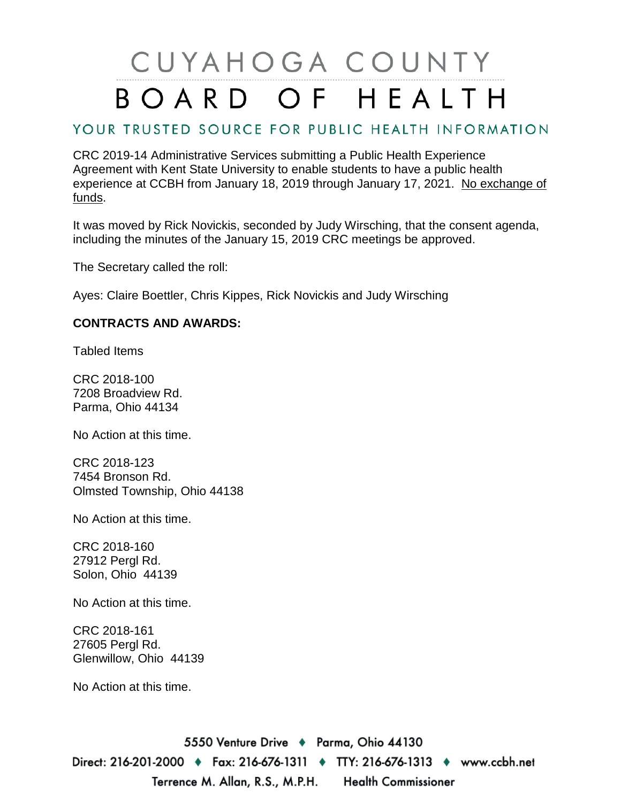## CUYAHOGA COUNTY BOARD OF HEALTH

### YOUR TRUSTED SOURCE FOR PUBLIC HEALTH INFORMATION

CRC 2019-14 Administrative Services submitting a Public Health Experience Agreement with Kent State University to enable students to have a public health experience at CCBH from January 18, 2019 through January 17, 2021. No exchange of funds.

It was moved by Rick Novickis, seconded by Judy Wirsching, that the consent agenda, including the minutes of the January 15, 2019 CRC meetings be approved.

The Secretary called the roll:

Ayes: Claire Boettler, Chris Kippes, Rick Novickis and Judy Wirsching

#### **CONTRACTS AND AWARDS:**

Tabled Items

CRC 2018-100 7208 Broadview Rd. Parma, Ohio 44134

No Action at this time.

CRC 2018-123 7454 Bronson Rd. Olmsted Township, Ohio 44138

No Action at this time.

CRC 2018-160 27912 Pergl Rd. Solon, Ohio 44139

No Action at this time.

CRC 2018-161 27605 Pergl Rd. Glenwillow, Ohio 44139

No Action at this time.

5550 Venture Drive + Parma, Ohio 44130 Direct: 216-201-2000 ♦ Fax: 216-676-1311 ♦ TTY: 216-676-1313 ♦ www.ccbh.net Terrence M. Allan, R.S., M.P.H. **Health Commissioner**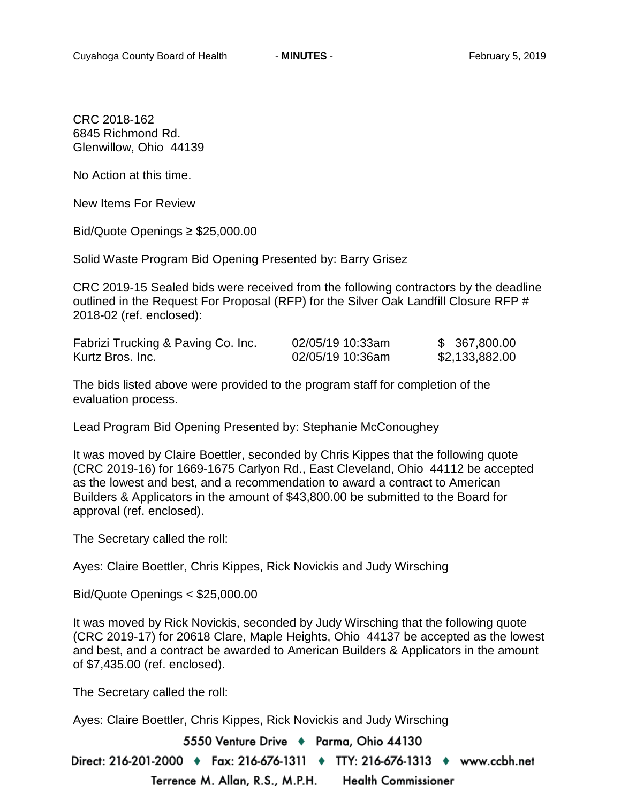CRC 2018-162 6845 Richmond Rd. Glenwillow, Ohio 44139

No Action at this time.

New Items For Review

Bid/Quote Openings ≥ \$25,000.00

Solid Waste Program Bid Opening Presented by: Barry Grisez

CRC 2019-15 Sealed bids were received from the following contractors by the deadline outlined in the Request For Proposal (RFP) for the Silver Oak Landfill Closure RFP # 2018-02 (ref. enclosed):

| Fabrizi Trucking & Paving Co. Inc. | 02/05/19 10:33am | \$ 367,800.00  |
|------------------------------------|------------------|----------------|
| Kurtz Bros. Inc.                   | 02/05/19 10:36am | \$2,133,882.00 |

The bids listed above were provided to the program staff for completion of the evaluation process.

Lead Program Bid Opening Presented by: Stephanie McConoughey

It was moved by Claire Boettler, seconded by Chris Kippes that the following quote (CRC 2019-16) for 1669-1675 Carlyon Rd., East Cleveland, Ohio 44112 be accepted as the lowest and best, and a recommendation to award a contract to American Builders & Applicators in the amount of \$43,800.00 be submitted to the Board for approval (ref. enclosed).

The Secretary called the roll:

Ayes: Claire Boettler, Chris Kippes, Rick Novickis and Judy Wirsching

Bid/Quote Openings < \$25,000.00

It was moved by Rick Novickis, seconded by Judy Wirsching that the following quote (CRC 2019-17) for 20618 Clare, Maple Heights, Ohio 44137 be accepted as the lowest and best, and a contract be awarded to American Builders & Applicators in the amount of \$7,435.00 (ref. enclosed).

The Secretary called the roll:

Ayes: Claire Boettler, Chris Kippes, Rick Novickis and Judy Wirsching

5550 Venture Drive + Parma, Ohio 44130

Direct: 216-201-2000 ♦ Fax: 216-676-1311 ♦ TTY: 216-676-1313 ♦ www.ccbh.net Terrence M. Allan, R.S., M.P.H. **Health Commissioner**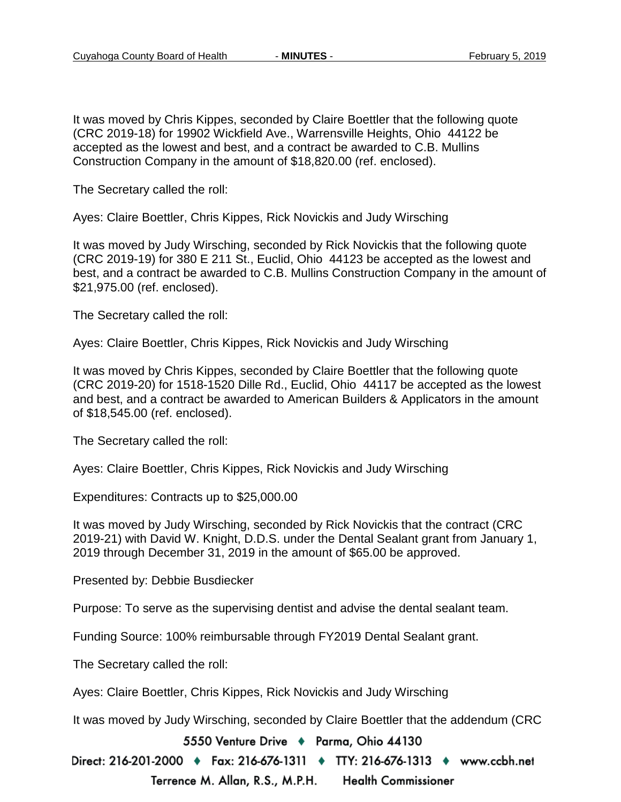It was moved by Chris Kippes, seconded by Claire Boettler that the following quote (CRC 2019-18) for 19902 Wickfield Ave., Warrensville Heights, Ohio 44122 be accepted as the lowest and best, and a contract be awarded to C.B. Mullins Construction Company in the amount of \$18,820.00 (ref. enclosed).

The Secretary called the roll:

Ayes: Claire Boettler, Chris Kippes, Rick Novickis and Judy Wirsching

It was moved by Judy Wirsching, seconded by Rick Novickis that the following quote (CRC 2019-19) for 380 E 211 St., Euclid, Ohio 44123 be accepted as the lowest and best, and a contract be awarded to C.B. Mullins Construction Company in the amount of \$21,975.00 (ref. enclosed).

The Secretary called the roll:

Ayes: Claire Boettler, Chris Kippes, Rick Novickis and Judy Wirsching

It was moved by Chris Kippes, seconded by Claire Boettler that the following quote (CRC 2019-20) for 1518-1520 Dille Rd., Euclid, Ohio 44117 be accepted as the lowest and best, and a contract be awarded to American Builders & Applicators in the amount of \$18,545.00 (ref. enclosed).

The Secretary called the roll:

Ayes: Claire Boettler, Chris Kippes, Rick Novickis and Judy Wirsching

Expenditures: Contracts up to \$25,000.00

It was moved by Judy Wirsching, seconded by Rick Novickis that the contract (CRC 2019-21) with David W. Knight, D.D.S. under the Dental Sealant grant from January 1, 2019 through December 31, 2019 in the amount of \$65.00 be approved.

Presented by: Debbie Busdiecker

Purpose: To serve as the supervising dentist and advise the dental sealant team.

Funding Source: 100% reimbursable through FY2019 Dental Sealant grant.

The Secretary called the roll:

Ayes: Claire Boettler, Chris Kippes, Rick Novickis and Judy Wirsching

It was moved by Judy Wirsching, seconded by Claire Boettler that the addendum (CRC

5550 Venture Drive + Parma, Ohio 44130

Direct: 216-201-2000 ♦ Fax: 216-676-1311 ♦ TTY: 216-676-1313 ♦ www.ccbh.net Terrence M. Allan, R.S., M.P.H. **Health Commissioner**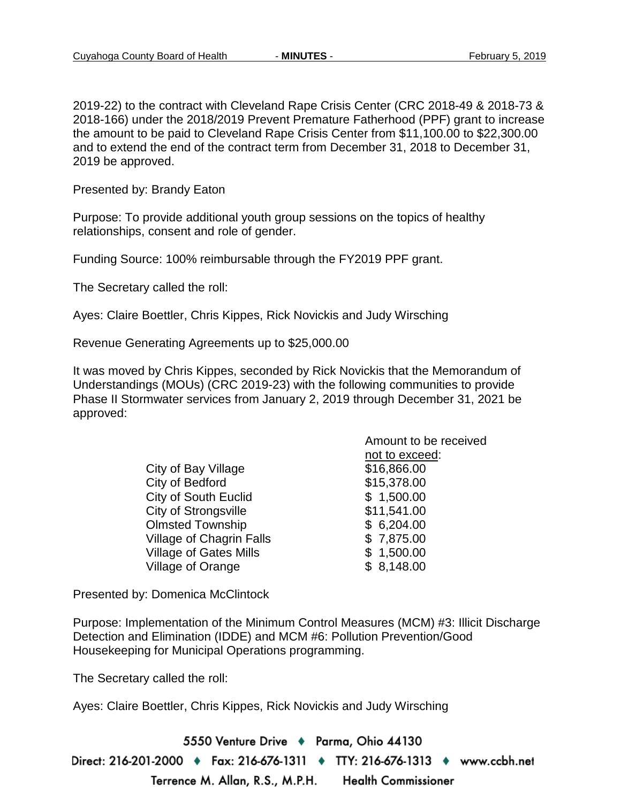2019-22) to the contract with Cleveland Rape Crisis Center (CRC 2018-49 & 2018-73 & 2018-166) under the 2018/2019 Prevent Premature Fatherhood (PPF) grant to increase the amount to be paid to Cleveland Rape Crisis Center from \$11,100.00 to \$22,300.00 and to extend the end of the contract term from December 31, 2018 to December 31, 2019 be approved.

Presented by: Brandy Eaton

Purpose: To provide additional youth group sessions on the topics of healthy relationships, consent and role of gender.

Funding Source: 100% reimbursable through the FY2019 PPF grant.

The Secretary called the roll:

Ayes: Claire Boettler, Chris Kippes, Rick Novickis and Judy Wirsching

Revenue Generating Agreements up to \$25,000.00

It was moved by Chris Kippes, seconded by Rick Novickis that the Memorandum of Understandings (MOUs) (CRC 2019-23) with the following communities to provide Phase II Stormwater services from January 2, 2019 through December 31, 2021 be approved:

|                                 | Amount to be received |
|---------------------------------|-----------------------|
|                                 | not to exceed:        |
| City of Bay Village             | \$16,866.00           |
| City of Bedford                 | \$15,378.00           |
| City of South Euclid            | \$1,500.00            |
| City of Strongsville            | \$11,541.00           |
| <b>Olmsted Township</b>         | \$6,204.00            |
| <b>Village of Chagrin Falls</b> | \$7,875.00            |
| <b>Village of Gates Mills</b>   | \$1,500.00            |
| Village of Orange               | \$8,148.00            |
|                                 |                       |

Presented by: Domenica McClintock

Purpose: Implementation of the Minimum Control Measures (MCM) #3: Illicit Discharge Detection and Elimination (IDDE) and MCM #6: Pollution Prevention/Good Housekeeping for Municipal Operations programming.

The Secretary called the roll:

Ayes: Claire Boettler, Chris Kippes, Rick Novickis and Judy Wirsching

5550 Venture Drive + Parma, Ohio 44130 Direct: 216-201-2000 ♦ Fax: 216-676-1311 ♦ TTY: 216-676-1313 ♦ www.ccbh.net Terrence M. Allan, R.S., M.P.H. **Health Commissioner**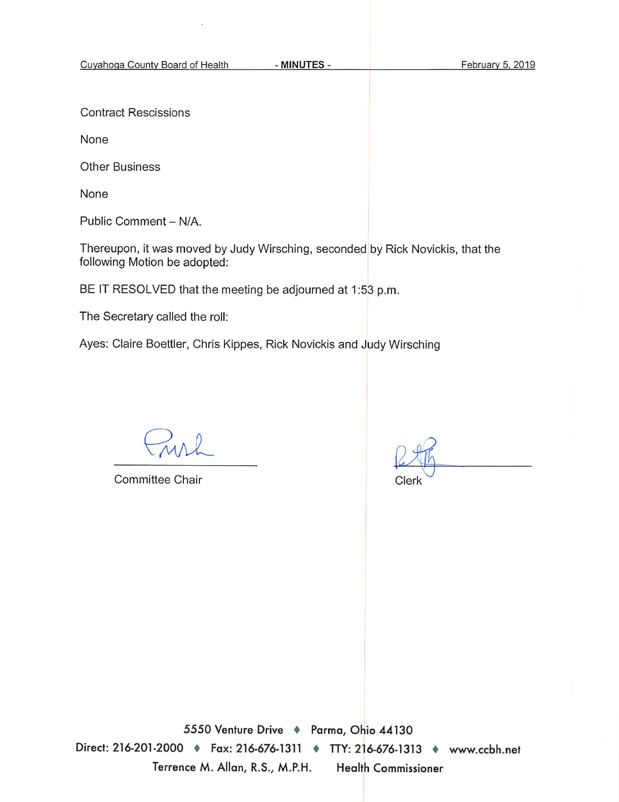Cuyahoga County Board of Health

**Contract Rescissions** 

None

**Other Business** 

None

Public Comment - N/A.

Thereupon, it was moved by Judy Wirsching, seconded by Rick Novickis, that the following Motion be adopted:

BE IT RESOLVED that the meeting be adjourned at 1:53 p.m.

The Secretary called the roll:

Ayes: Claire Boettler, Chris Kippes, Rick Novickis and Judy Wirsching

**Committee Chair** 

Clerk

5550 Venture Drive + Parma, Ohio 44130 Direct: 216-201-2000 • Fax: 216-676-1311 • TTY: 216-676-1313 • www.ccbh.net Terrence M. Allan, R.S., M.P.H. **Health Commissioner**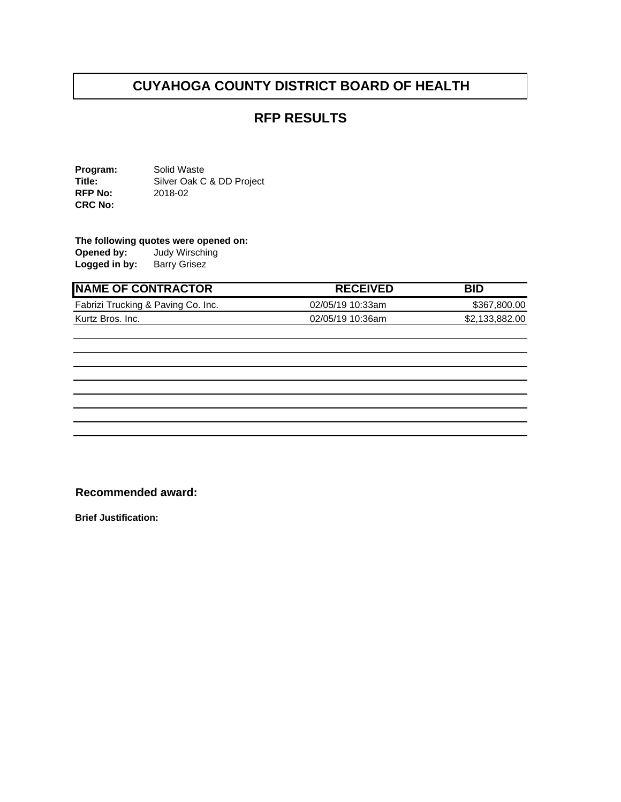#### **RFP RESULTS**

**Program:** Solid Waste<br> **Title:** Silver Oak C Silver Oak C & DD Project **RFP No:** 2018-02 **CRC No:** 

## **The following quotes were opened on:**<br>**Opened by:** Judy Wirsching

**Opened by:** Judy Wirsching **Logged in by:** Barry Grisez

| <b>INAME OF CONTRACTOR</b>         | <b>RECEIVED</b>  | BID            |
|------------------------------------|------------------|----------------|
| Fabrizi Trucking & Paving Co. Inc. | 02/05/19 10:33am | \$367,800,00   |
| Kurtz Bros. Inc.                   | 02/05/19 10:36am | \$2,133,882.00 |

#### **Recommended award:**

**Brief Justification:**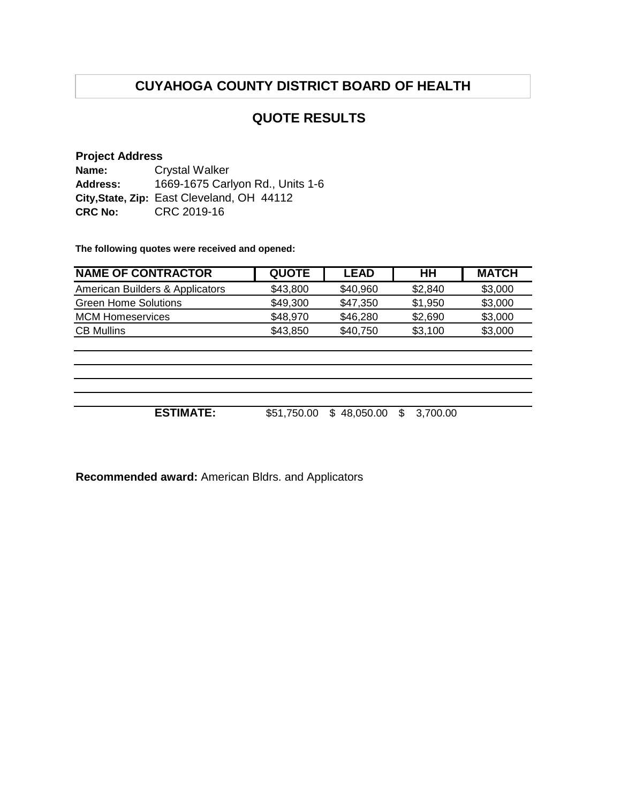#### **QUOTE RESULTS**

#### **Project Address**

**Name: Address: City,State, Zip:** East Cleveland, OH 44112 **CRC No:** CRC 2019-16 Crystal Walker 1669-1675 Carlyon Rd., Units 1-6

**The following quotes were received and opened:**

| <b>NAME OF CONTRACTOR</b>       | <b>QUOTE</b> | <b>LEAD</b>      | HH            | <b>MATCH</b> |
|---------------------------------|--------------|------------------|---------------|--------------|
| American Builders & Applicators | \$43,800     | \$40,960         | \$2,840       | \$3,000      |
| <b>Green Home Solutions</b>     | \$49,300     | \$47,350         | \$1,950       | \$3,000      |
| <b>MCM Homeservices</b>         | \$48,970     | \$46,280         | \$2,690       | \$3,000      |
| <b>CB Mullins</b>               | \$43,850     | \$40,750         | \$3,100       | \$3,000      |
|                                 |              |                  |               |              |
|                                 |              |                  |               |              |
|                                 |              |                  |               |              |
|                                 |              |                  |               |              |
|                                 |              |                  |               |              |
| <b>ESTIMATE:</b>                | \$51,750.00  | 48,050.00<br>\$. | 3,700.00<br>S |              |

**Recommended award:** American Bldrs. and Applicators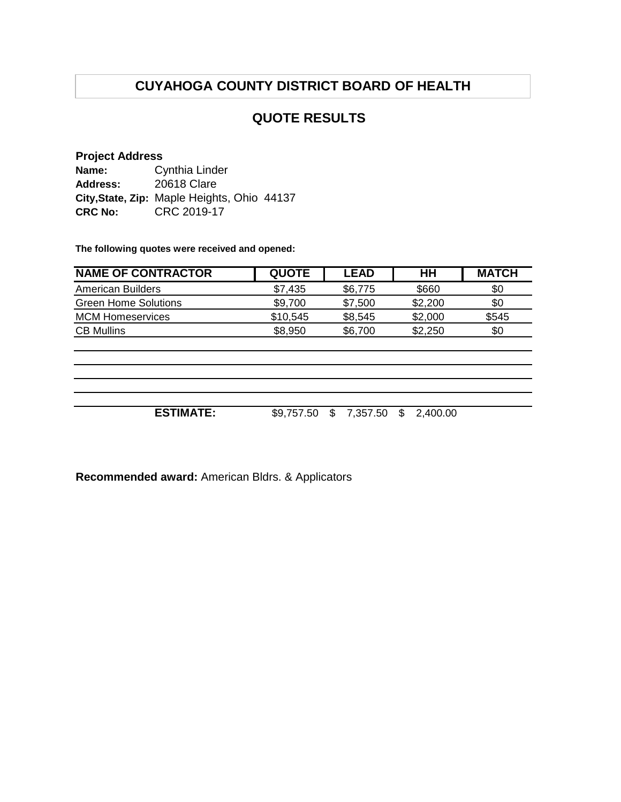#### **QUOTE RESULTS**

#### **Project Address**

**Name: Address: City,State, Zip:** Maple Heights, Ohio 44137 **CRC No:** CRC 2019-17 Cynthia Linder 20618 Clare

**The following quotes were received and opened:**

| \$0      |
|----------|
|          |
| \$0      |
| \$545    |
| \$0      |
|          |
|          |
|          |
|          |
|          |
| 2,400.00 |
|          |

**Recommended award:** American Bldrs. & Applicators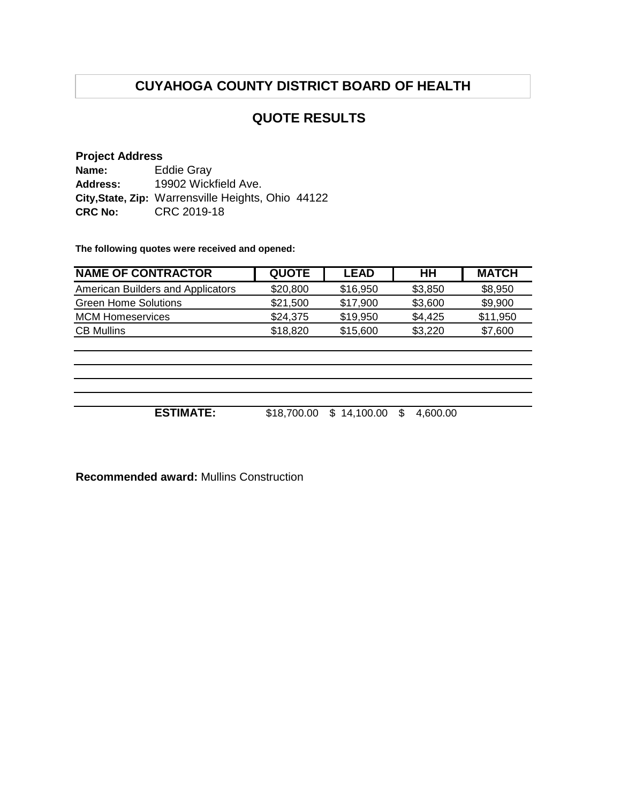#### **QUOTE RESULTS**

#### **Project Address**

| Name:           | <b>Eddie Gray</b>                                  |
|-----------------|----------------------------------------------------|
| <b>Address:</b> | 19902 Wickfield Ave.                               |
|                 | City, State, Zip: Warrensville Heights, Ohio 44122 |
| <b>CRC No:</b>  | CRC 2019-18                                        |

**The following quotes were received and opened:**

| <b>NAME OF CONTRACTOR</b>         | <b>QUOTE</b> | <b>LEAD</b> | HН      | <b>MATCH</b> |
|-----------------------------------|--------------|-------------|---------|--------------|
| American Builders and Applicators | \$20,800     | \$16,950    | \$3,850 | \$8,950      |
| <b>Green Home Solutions</b>       | \$21,500     | \$17,900    | \$3,600 | \$9,900      |
| <b>MCM Homeservices</b>           | \$24,375     | \$19,950    | \$4,425 | \$11,950     |
| <b>CB Mullins</b>                 | \$18,820     | \$15,600    | \$3,220 | \$7,600      |
|                                   |              |             |         |              |

**ESTIMATE:** \$18,700.00 \$ 14,100.00 \$ 4,600.00

**Recommended award:** Mullins Construction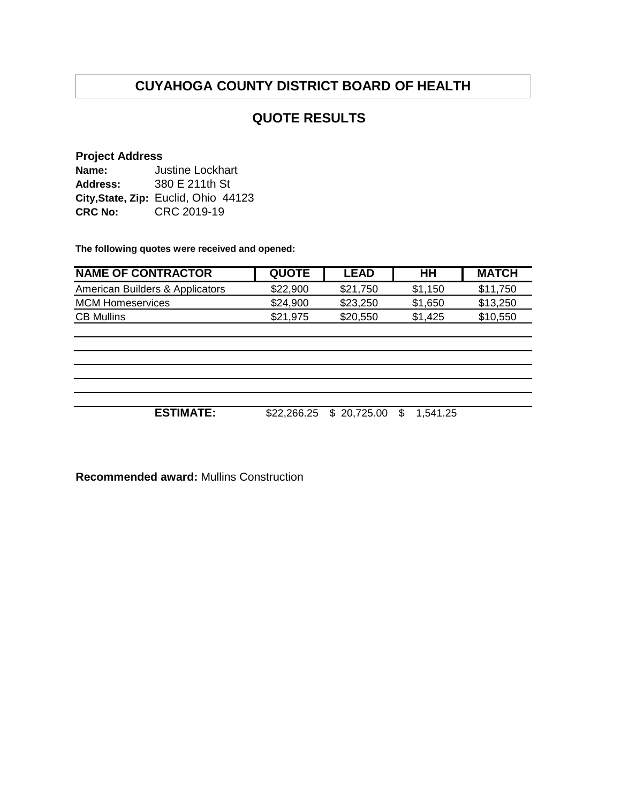#### **QUOTE RESULTS**

#### **Project Address**

| Name:          | Justine Lockhart                     |
|----------------|--------------------------------------|
| Address:       | 380 E 211th St                       |
|                | City, State, Zip: Euclid, Ohio 44123 |
| <b>CRC No:</b> | CRC 2019-19                          |

**The following quotes were received and opened:**

| <b>NAME OF CONTRACTOR</b>       | <b>QUOTE</b> | LEAD     | HН      | <b>MATCH</b> |
|---------------------------------|--------------|----------|---------|--------------|
| American Builders & Applicators | \$22,900     | \$21,750 | \$1.150 | \$11.750     |
| MCM Homeservices                | \$24.900     | \$23,250 | \$1,650 | \$13.250     |
| <b>CB Mullins</b>               | \$21.975     | \$20,550 | \$1.425 | \$10.550     |

**ESTIMATE:** \$22,266.25 \$ 20,725.00 \$ 1,541.25

**Recommended award:** Mullins Construction